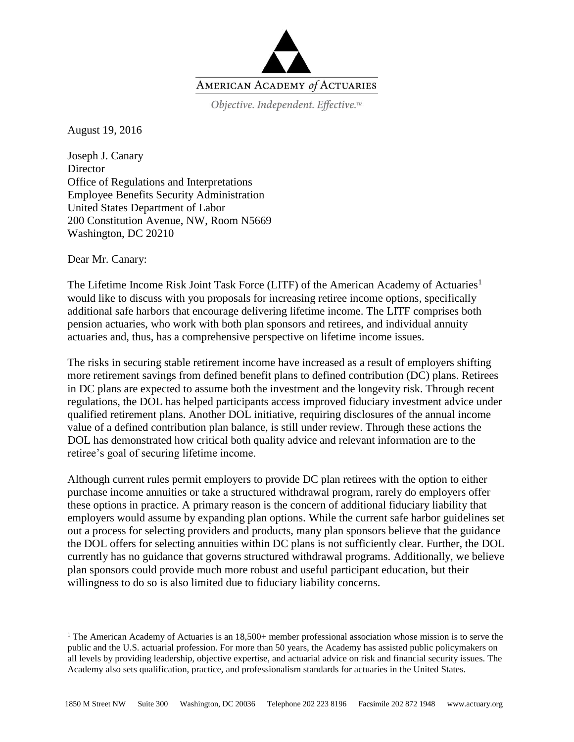

Objective. Independent. Effective.™

August 19, 2016

Joseph J. Canary **Director** Office of Regulations and Interpretations Employee Benefits Security Administration United States Department of Labor 200 Constitution Avenue, NW, Room N5669 Washington, DC 20210

Dear Mr. Canary:

 $\overline{a}$ 

The Lifetime Income Risk Joint Task Force (LITF) of the American Academy of Actuaries<sup>1</sup> would like to discuss with you proposals for increasing retiree income options, specifically additional safe harbors that encourage delivering lifetime income. The LITF comprises both pension actuaries, who work with both plan sponsors and retirees, and individual annuity actuaries and, thus, has a comprehensive perspective on lifetime income issues.

The risks in securing stable retirement income have increased as a result of employers shifting more retirement savings from defined benefit plans to defined contribution (DC) plans. Retirees in DC plans are expected to assume both the investment and the longevity risk. Through recent regulations, the DOL has helped participants access improved fiduciary investment advice under qualified retirement plans. Another DOL initiative, requiring disclosures of the annual income value of a defined contribution plan balance, is still under review. Through these actions the DOL has demonstrated how critical both quality advice and relevant information are to the retiree's goal of securing lifetime income.

Although current rules permit employers to provide DC plan retirees with the option to either purchase income annuities or take a structured withdrawal program, rarely do employers offer these options in practice. A primary reason is the concern of additional fiduciary liability that employers would assume by expanding plan options. While the current safe harbor guidelines set out a process for selecting providers and products, many plan sponsors believe that the guidance the DOL offers for selecting annuities within DC plans is not sufficiently clear. Further, the DOL currently has no guidance that governs structured withdrawal programs. Additionally, we believe plan sponsors could provide much more robust and useful participant education, but their willingness to do so is also limited due to fiduciary liability concerns.

<sup>&</sup>lt;sup>1</sup> The American Academy of Actuaries is an  $18,500+$  member professional association whose mission is to serve the public and the U.S. actuarial profession. For more than 50 years, the Academy has assisted public policymakers on all levels by providing leadership, objective expertise, and actuarial advice on risk and financial security issues. The Academy also sets qualification, practice, and professionalism standards for actuaries in the United States.